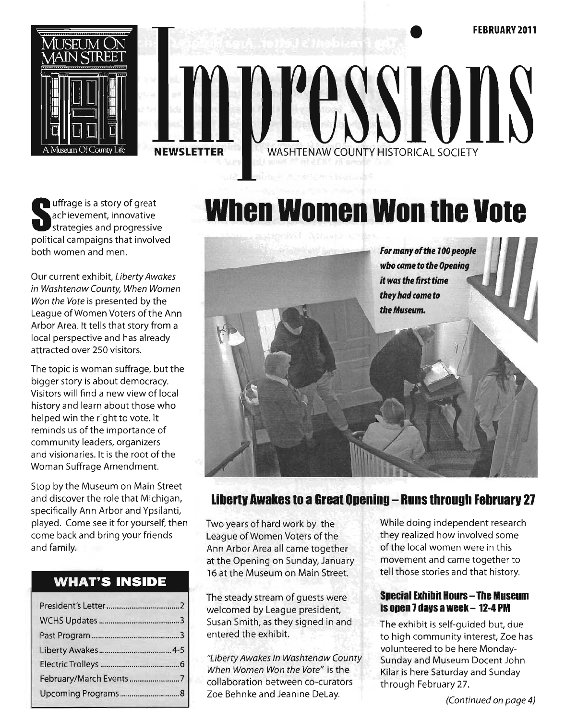

# WASHTENAW COUNTY HISTORICAL SOCIETY TXX **NEWSLETTER**

Unifrage is a story of great<br>
achievement, innovative<br>
strategies and progressive achievement, innovative strategies and progressive political campaigns that involved both women and men.

Our current exhibit, Liberty Awakes in Washtenaw County, When Women Won the Vote is presented by the league of Women Voters of the Ann Arbor Area. It tells that story from a local perspective and has already attracted over 250 visitors.

The topic is woman suffrage, but the bigger story is about democracy. Visitors will find a new view of local history and learn about those who helped win the right to vote. It reminds us of the importance of community leaders, organizers and visionaries. It is the root of the Woman Suffrage Amendment.

Stop by the Museum on Main Street and discover the role that Michigan, specifically Ann Arbor and Ypsilanti, played. Come see it for yourself, then come back and bring your friends and family.

#### **WHAT'S INSIDE**

# **When Women Won Ihe VOle**



### **libertv Awakes to a Great Opening - Runs through Februarv 21**

Two years of hard work by the League of Women Voters of the Ann Arbor Area all came together at the Opening on Sunday, January 16 at the Museum on Main Street.

The steady stream of guests were welcomed by League president, Susan Smith, as they signed in and entered the exhibit.

"Liberty Awakes in Washtenaw County When Women Won the Vote" is the collaboration between co-curators Zoe Behnke and Jeanine Delay.

While doing independent research they realized how involved some of the local women were in this movement and came together to tell those stories and that history.

#### **Special Exhibil Hours - The Museum is open 1 davs a week - 12-4 PM**

The exhibit is self-guided but, due to high community interest, Zoe has volunteered to be here Monday-Sunday and Museum Docent John Kilar is here Saturday and Sunday through February 27.

(Continued on page 4)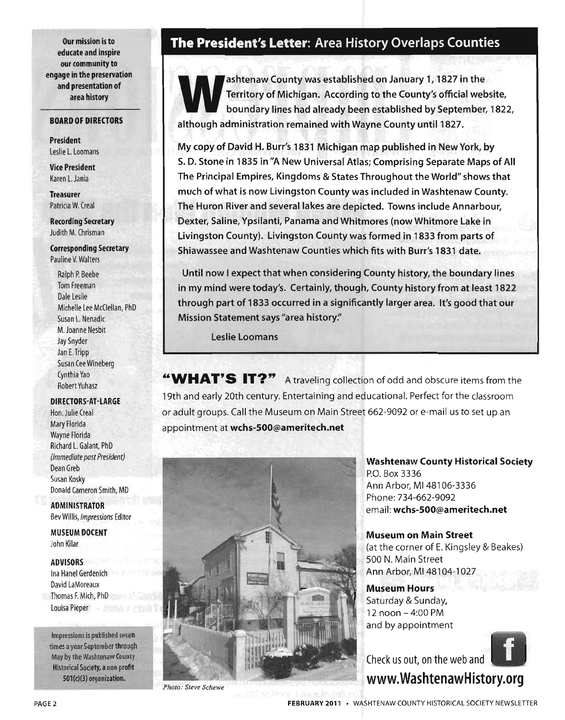Our mission is to educate and inspire our community to engage in the preservation and presentation of area history

#### BOARD OF DIRECTORS

President Leslie L. Loomans

Vice President Karen L. Jania

Treasurer Patricia W. Creal

Recording Secretary Judith M. Chrisman

Corresponding Secretary Pauline V. Walters

Ralph P. Beebe Tom Freeman Dale Leslie Michelle Lee McClellan, PhD Susan L. Nenadic M. Joanne Nesbit Jay Snyder Jan E. Tripp Susan Cee Wineberg Cynthia Yao Robert Yuhasz

DIRECTORS-AT-LARGE

Hon. Julie Creal Mary Florida Wayne Florida Richard L. Galant, PhD (Immediate past President) Dean Greb Susan Kosky Donald Cameron Smith, MD

ADMINISTRATOR Bev Willis, Impressions Editor

MUSEUM DOCENT John Kilar

ADVISORS

Ina Hanel Gerdenich David LaMoreaux Thomas F. Mich, PhD Louisa Pieper **Campbell** 

Impressions is published seven times a year September through May by the Washtenaw County Historical Society, a non profit 501(c)(3) organization.

#### **The President's** Letter: Area History Overlaps Counties

ashtenaw County was established on January 1, 1827 in the<br>Territory of Michigan. According to the County's official web<br>boundary lines had already been established by September, Territory of Michigan. According to the County's official website, boundary lines had already been established by September, 1822, although administration remained with Wayne County until 1827 .

My copy of David H. Burr's 1831 Michigan map published in New York, by S. D. Stone in 1835 in "A New Universal Atlas; Comprising Separate Maps of All The Principal Empires, Kingdoms & States Throughout the World" shows that much of what is now Livingston County was included in Washtenaw County. The Huron River and several lakes are depicted. Towns include Annarbour, Dexter, Saline, Ypsilanti, Panama and Whitmores (now Whitmore Lake in Livingston County). Livingston County was formed in 1833 from parts of Shiawassee and Washtenaw Counties which fits with Burr's 1831 date.

Until now I expect that when considering County history, the boundary lines in my mind were today's. Certainly, though, County history from at least 1822 through part of 1833 occurred in a significantly larger area. It's good that our Mission Statement says "area history:'

Leslie Loomans

**"WHAT'S IT?" A** traveling collection of odd and obscure items from the 19th and early 20th century. Entertaining and educational. Perfect for the classroom or adult groups. Call the Museum on Main Street 662-9092 or e-mail us to set up an appointment at wchs-SOO@ameritech.net



*Photo: Steve Schewe* 

Washtenaw County Historical Society P.O. Box 3336 Ann Arbor, MI 48106-3336 Phone: 734-662-9092 email: wchs-SOO@ameritech.net

Museum on Main Street (at the corner of E. Kingsley & Beakes) 500 N. Main Street Ann Arbor, MI 48104-1027

Museum Hours Saturday & Sunday, 12 noon - 4:00 PM , and by appointment



Check us out, on the web and www.WashtenawHistory.org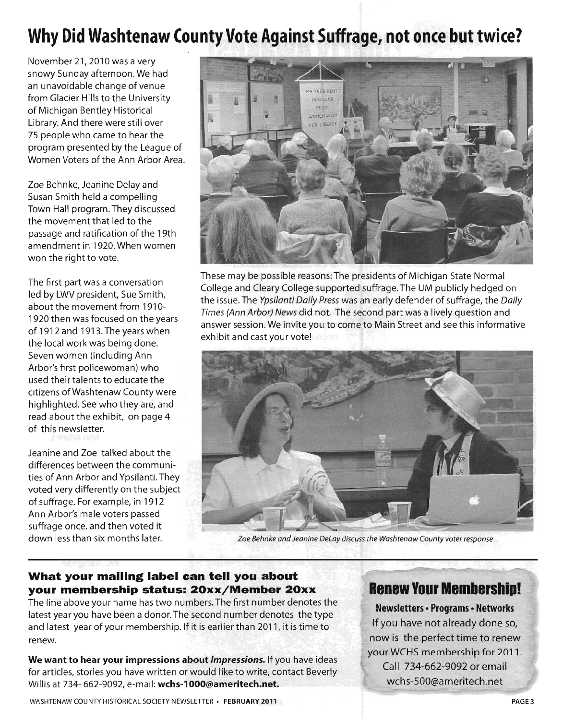# **Why Did Washtenaw County Vote Against Suffrage, not once but twice?**

November 21, 2010 was a very snowy Sunday afternoon. We had an unavoidable change of venue from Glacier Hills to the University of Michigan Bentley Historical Library. And there were still over 75 people who came to hear the program presented by the League of Women Voters of the Ann Arbor Area.

Zoe Behnke, Jeanine Delay and Susan Smith held a compelling Town Hall program. They discussed the movement that led to the passage and ratification of the 19th amendment in 1920. When women won the right to vote.

The first part was a conversation led by LWV president, Sue Smith, about the movement from 1910- 1920 then was focused on the years of 1912 and 1913. The years when the local work was being done. Seven women (including Ann Arbor's first policewoman) who used their talents to educate the citizens ofWashtenaw County were highlighted. See who they are, and read about the exhibit, on page 4 of this newsletter.

Jeanine and Zoe talked about the differences between the communities of Ann Arbor and Ypsilanti. They voted very differently on the subject of suffrage. For example, in 1912 Ann Arbor's male voters passed suffrage once, and then voted it



These may be possible reasons: The presidents of Michigan State Normal College and Cleary College supported suffrage. The UM publicly hedged on the issue. The Ypsilanti Daily Press was an early defender of suffrage, the Daily Times (Ann Arbor) News did not. The second part was a lively question and answer session. We invite you to come to Main Street and see this informative exhibit and cast your vote!



down less than six months later. *Zoe Behnke and Jeanine DeLay discuss the Washtenaw County voter response* 

#### **What your mailing label can tell you about your membership status: 20xx/Member 20xx**

The line above your name has two numbers. The first number denotes the latest year you have been a donor. The second number denotes the type and latest year of your membership. If it is earlier than 2011, it is time to renew.

**We want to hear your impressions about** *Impressions.* If you have ideas for articles, stories you have written or would like to write, contact Beverly Willis at 734- 662-9092, e-mail: **wchs-1000@ameritech.net.** 

### **Renew Your Membership!**

**Newsletters • Programs· Networks**  If you have not already done so, now is the perfect time to renew your WCHS membership for 2011. Call 734-662-9092 or email wchs-500@ameritech.net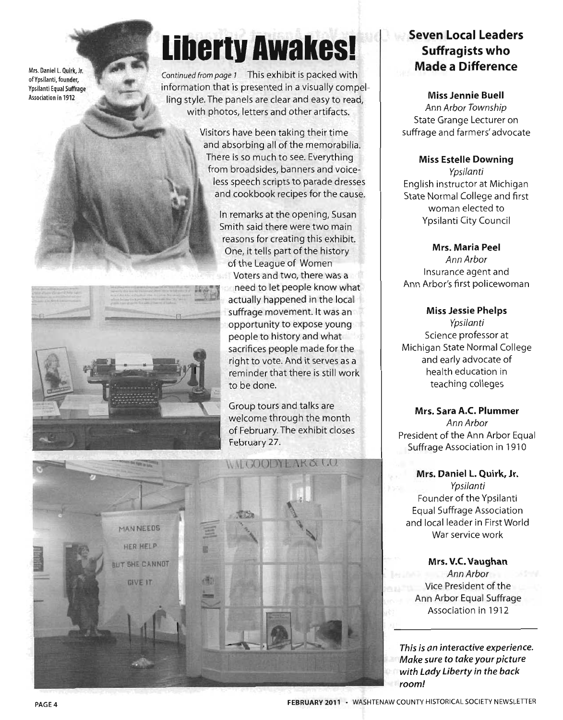Mrs. Daniel L. Quirk, Jr. of Ypsilanti, founder, Ypsilanti Equal Suffrage Association in 1912

# **liberty Awakes!**

Continued from page 1 This exhibit is packed with information that is presented in a visually compelling style. The panels are clear and easy to read, with photos, letters and other artifacts.

> Visitors have been taking their time and absorbing all of the memorabilia. There is so much to see. Everything from broadsides, banners and voice less speech scripts to parade dresses and cookbook recipes for the cause.

> > In remarks at the opening, Susan Smith said there were two main reasons for creating this exhibit. One, it tells part of the history of the League of Women Voters and two, there was a

need to let people know what actually happened in the local suffrage movement. It was an opportunity to expose young people to history and what sacrifices people made for the right to vote. And it serves as a reminder that there is still work to be done.

Group tours and talks are welcome through the month of February. The exhibit closes February 27.



### **Seven Local Leaders Suffragists who Made a Difference**

Miss Jennie Buell Ann Arbor Township State Grange Lecturer on suffrage and farmers' advocate

#### Miss Estelle Downing

Ypsilanti English instructor at Michigan State Normal College and first woman elected to Ypsilanti City Council

Mrs. Maria Peel

Ann Arbor Insurance agent and Ann Arbor's first policewoman

Miss Jessie Phelps Ypsilanti Science professor at Michigan State Normal College and early advocate of health education in teaching colleges

Mrs. Sara A.C. Plummer Ann Arbor President of the Ann Arbor Equal Suffrage Association in 1910

Mrs. Daniel L. Quirk, Jr. Ypsilanti Founder of the Ypsilanti Equal Suffrage Association and local leader in First World War service work

Mrs. V.C. Vaughan Ann Arbor Vice President of the Ann Arbor Equal Suffrage Association in 1912

*This is an interactive experience. Make sure* to *take your picture with Lady Liberty in the back room!*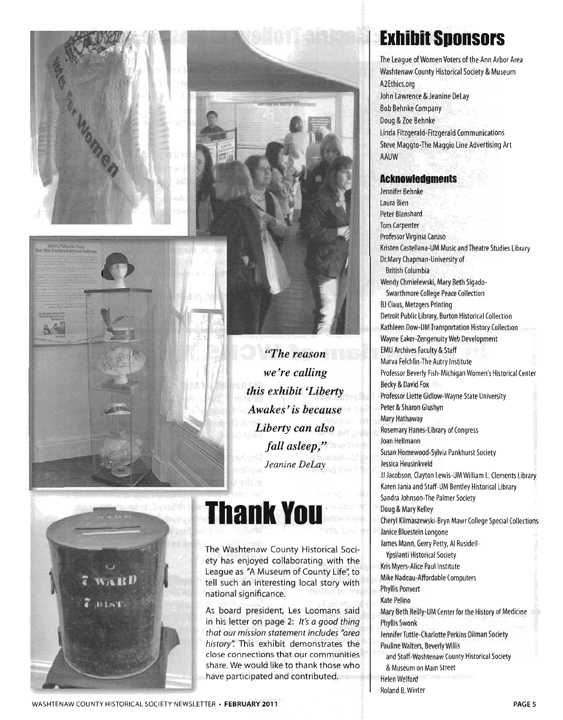





**DIST** 

## *<u><sup>"</sup>The reason"</u> we're calling this exhibit* ~Liberty *Awakes'is because Liberty can also fall asleep/' Jeanine DeLay*

# Thank You

The Washtenaw County Historical Society has enjoyed collaborating with the League as "A Museum of County Life'; to tell such an interesting local story with national significance.

As board president, Les Loomans said in his letter on page 2: *It's a good thing that our mission statement includes "area history':* This exhibit demonstrates the close connections that our communities share. We would like to thank those who have participated and contributed.

# **Exhibit Sponsors**

The League of Women Voters of the Ann Arbor Area Washtenaw County Historical Society & Museum A2Ethics.org John Lawrence & Jeanine DeLay Bob Behnke Company Doug & Zoe Behnke Linda Fitzgerald-Fitzgerald Communications Steve Maggto-The Maggio Line Advertising Art AAUW

#### **Acknowledgments**

Jennifer Behnke Laura Bien Peter Blanshard Tom Carpenter Professor Virginia Caruso Kristen Castellana-UM Music and Theatre Studies Library Dr.Mary Chapman-University of British Columbia Wendy Chmielewski, Mary Beth Sigado-Swarthmore College Peace Collection BJ Claus, Metzgers Printing Detroit Public Library, Burton Historical Collection Kathleen Dow-UM Transportation History Collection Wayne Eaker-Zengenuity Web Development EMU Archives Faculty & Staff Marva Felchlin-The Autry Institute Professor Beverly Fish-Michigan Women's Historical Center Becky & David Fox Professor Liette Gidlow-Wayne State University Peter & Sharon Glushyn Mary Hathaway Rosemary Hanes-Library of Congress Joan Hellmann Susan Homewood-Sylvia Pankhurst Society Jessica Heusinkveld JJ Jacobson, Clayton Lewis-UM William L. Clements Library Karen Jania and Staff-UM Bentley Historical Library Sandra Johnson-The Palmer Society Doug & Mary Kelley Cheryl Klimaszewski-Bryn Mawr College Special Collections Janice Bluestein Longone James Mann, Gerry Petty, AI Rusidell-Ypsilanti Historical Society Kris Myers-Alice Paul Institute Mike Nadeau-Affordable Computers Phyllis Ponvert Kate Pelino Mary Beth Reilly-UM Center for the History of Medicine Phyllis Swonk Jennifer Tuttle-Charlotte Perkins Oilman Society Pauline Walters, Beverly Willis and Staff-Washtenaw County Historical Society & Museum on Main Street Helen Welford Roland B. Winter

WASHTENAW COUNTY HISTORICAL SOCIETY NEWSLETTER· **FEBRUARY 2011**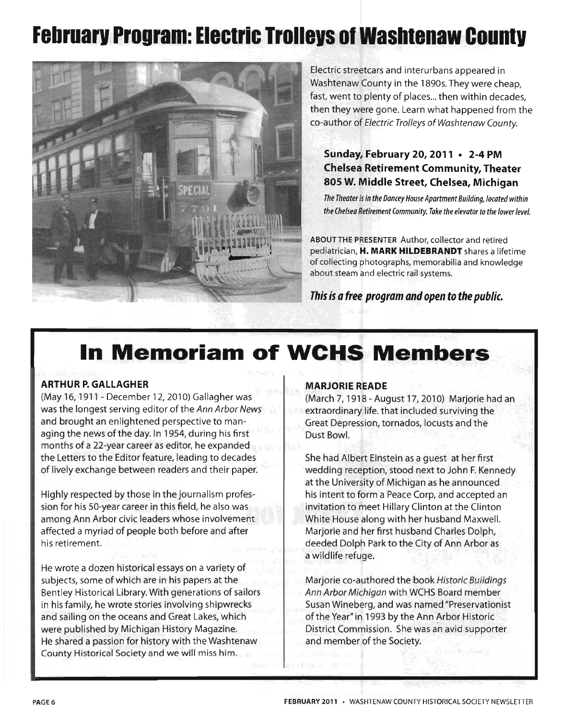# **February Program: Electric Trolleys of Washtenaw County**



Electric streetcars and interurbans appeared in Washtenaw County in the 1890s. They were cheap, fast, went to plenty of places... then within decades, then they were gone. Learn what happened from the co-author of Electric Trolleys of Washtenaw County.

#### **Sunday, February 20, 2011 • 2-4 PM Chelsea Retirement Community, Theater 805 W. Middle Street, Chelsea, Michigan**

*The Theater is in the Dancey House Apartment Building, located within the Chelsea Retirement Community. Take the elevator* to *the lower level.* 

ABOUT THE PRESENTER Author, collector and retired pediatrician, **H. MARK HILDEBRANDT** shares a lifetime of collecting photographs, memorabilia and knowledge about steam and electric rail systems.

**This is a free program and open to the public.** 

# **In Memoriam of WCHS Members**

#### **ARTHUR P. GALLAGHER**

(May 16, 1911 - December 12,2010) Gallagher was was the longest serving editor of the Ann Arbor News and brought an enlightened perspective to managing the news of the day. In 1954, during his first months of a 22-year career as editor, he expanded the Letters to the Editor feature, leading to decades of lively exchange between readers and their paper.

Highly respected by those in the journalism profession for his 50-year career in this field, he also was among Ann Arbor civic leaders whose involvement affected a myriad of people both before and after his retirement.

He wrote a dozen historical essays on a variety of subjects, some of which are in his papers at the Bentley Historical Library. With generations of sailors in his family, he wrote stories involving shipwrecks and sailing on the oceans and Great Lakes, which were published by Michigan History Magazine. He shared a passion for history with the Washtenaw County Historical Society and we will miss him.

#### **MARJORIE READE**

(March 7, 1918 - August 17,2010) Marjorie had an extraordinary life. that included surviving the Great Depression, tornados, locusts and the Dust Bowl.

She had Albert Einstein as a guest at her first wedding reception, stood next to John F. Kennedy at the University of Michigan as he announced his intent to form a Peace Corp, and accepted an invitation to meet Hillary Clinton at the Clinton White House along with her husband Maxwell. Marjorie and her first husband Charles Dolph, deeded Dolph Park to the City of Ann Arbor as a wildlife refuge.

Marjorie co-authored the book Historic Buildings Ann Arbor Michigan with WCHS Board member Susan Wineberg, and was named "Preservationist of the Year" in 1993 by the Ann Arbor Historic District Commission. She was an avid supporter and member of the Society.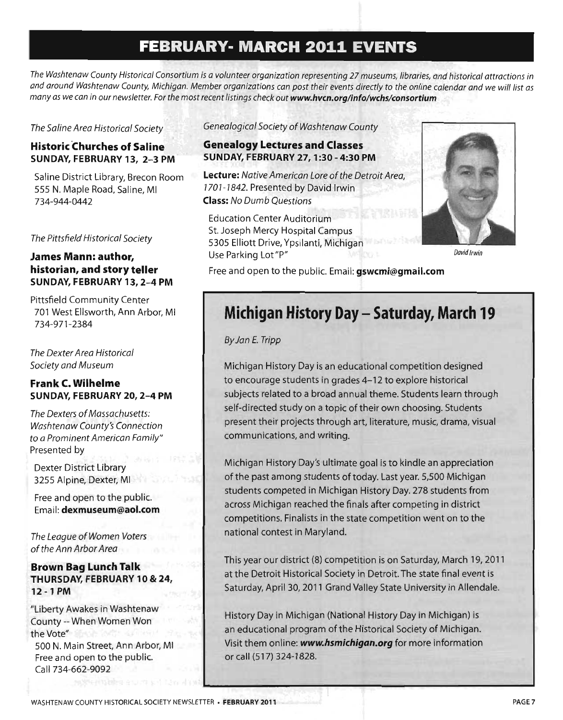## **FEBRUARY· MARCH 2011 EVENTS**

*The Washtenaw County Historical Consortium is a volunteer organization representing* 27 *museums, libraries, and historical attractions in and around Washtenaw County, Michigan. Member organizations can post their events directly* to *the online calendar and* we *will list as many as* we *can in our newsletter. For the most recent listings check out* **www.hvcn.org/info/wchs/consortium** 

*The Saline Area Historical Society* 

#### **Historic Churches of Saline SUNDAY, FEBRUARY 13, 2-3 PM**

Saline District Library, Brecon Room 555 N. Maple Road, Saline, MI 734-944-0442

*The Pittsfield Historical Society* 

#### **James Mann: author, historian, and story teller SUNDAY, FEBRUARY 13, 2-4 PM**

Pittsfield Community Center 701 West Ellsworth, Ann Arbor, MI 734-971-2384

*The Dexter Area Historical Society and Museum* 

#### **Frank C. Wilhelme SUNDAY, FEBRUARY 20, 2-4 PM**

*The Dexters* of *Massachusetts: Washtenaw County's Connection to* a *Prominent American Family"*  Presented by

Dexter District Library 3255 Alpine, Dexter, MI

Free and open to the public. Email: **dexmuseum@aol.com** 

*The League* of *Women Voters*  of *the Ann Arbor Area* 

#### **Brown Bag Lunch Talk THURSDAY, FEBRUARY 10 & 24, 12 -1 PM**

"Liberty Awakes in Washtenaw County -- When Women Won the Vote" 500 N. Main Street, Ann Arbor, MI Free and open to the public. Call 734-662-9092

*Genealogical Society* of *Washtenaw County* 

#### **Genealogy Lectures and Classes SUNDAY, FEBRUARY 27, 1 :30 - 4:30 PM**

**Lecture:** *Native American Lore* of *the Detroit Area, 7707-7842.* Presented by David Irwin **Class:** *No Dumb Questions* 

Education Center Auditorium St. Joseph Mercy Hospital Campus 5305 Elliott Drive, Ypsilanti, Michigan Use Parking Lot"P"



David Irwin

Free and open to the public. Email: **gswcmi@gmail.com** 

## **Michigan History Day - Saturday, March 19**

*By Jan E. Tripp* 

Michigan History Day is an educational competition designed to encourage students in grades 4-12 to explore historical subjects related to a broad annual theme. Students learn through self-directed study on a topic of their own choosing. Students present their projects through art, literature, music, drama, visual communications, and writing.

Michigan History Day's ultimate goal is to kindle an appreciation of the past among students of today. Last year. 5,500 Michigan students competed in Michigan History Day. 278 students from across Michigan reached the finals after competing in district competitions. Finalists in the state competition went on to the national contest in Maryland.

This year our district (8) competition is on Saturday, March 19,2011 at the Detroit Historical Society in Detroit. The state final event is Saturday, April 30,2011 Grand Valley State University in Allendale.

History Day in Michigan (National History Day in Michigan) is an educational program of the Historical Society of Michigan. Visit them online: *www.hsmichigan.org* for more information or call (517) 324-1828.